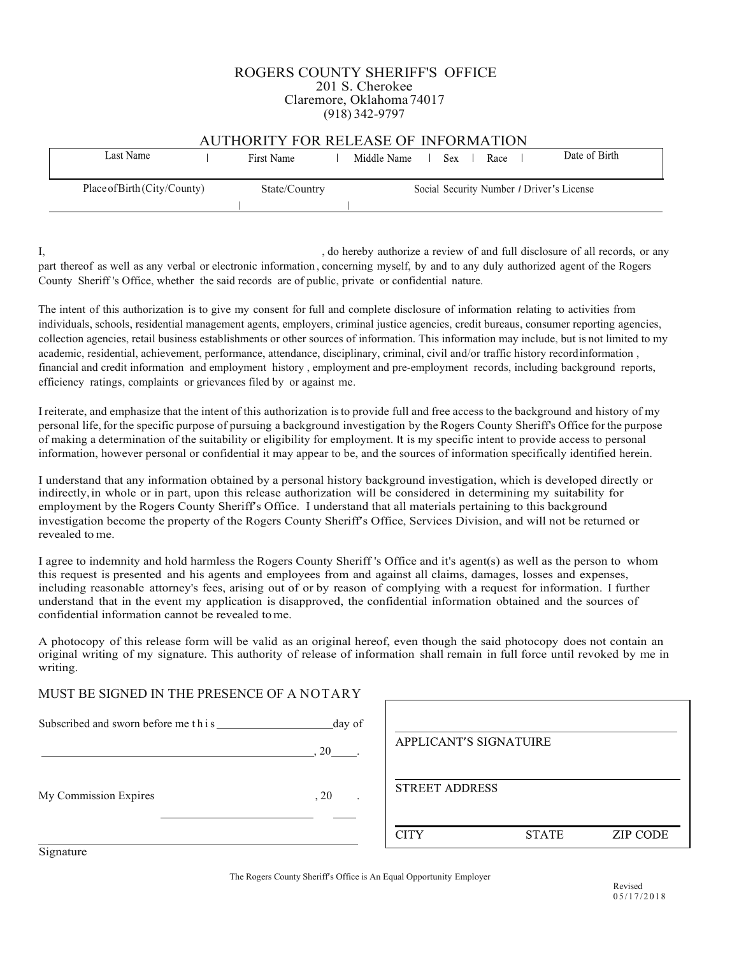## ROGERS COUNTY SHERIFF'S OFFICE 201 S. Cherokee Claremore, Oklahoma 74017 (918) 342-9797

|           |                                               |            | AUTHORITY FOR RELEASE OF INFORMATION        |
|-----------|-----------------------------------------------|------------|---------------------------------------------|
| Last Name |                                               | First Name | Date of Birth<br>Middle Name<br>Sex<br>Race |
|           |                                               |            |                                             |
|           | Place of Birth (City/County)<br>State/Country |            | Social Security Number / Driver's License   |
|           |                                               |            |                                             |

I, the contract of and full disclosure of all records, or any left and full disclosure of all records, or any part thereof as well as any verbal or electronic information , concerning myself, by and to any duly authorized agent of the Rogers County Sheriff 's Office, whether the said records are of public, private or confidential nature.

The intent of this authorization is to give my consent for full and complete disclosure of information relating to activities from individuals, schools, residential management agents, employers, criminal justice agencies, credit bureaus, consumer reporting agencies, collection agencies, retail business establishments or other sources of information. This information may include, but is not limited to my academic, residential, achievement, performance, attendance, disciplinary, criminal, civil and/or traffic history recordinformation , financial and credit information and employment history , employment and pre-employment records, including background reports, efficiency ratings, complaints or grievances filed by or against me.

I reiterate, and emphasize that the intent of this authorization isto provide full and free access to the background and history of my personal life, for the specific purpose of pursuing a background investigation by the Rogers County Sheriff's Office for the purpose of making a determination of the suitability or eligibility for employment. It is my specific intent to provide access to personal information, however personal or confidential it may appear to be, and the sources of information specifically identified herein.

I understand that any information obtained by a personal history background investigation, which is developed directly or indirectly,in whole or in part, upon this release authorization will be considered in determining my suitability for employment by the Rogers County Sheriff's Office. I understand that all materials pertaining to this background investigation become the property of the Rogers County Sheriff's Office, Services Division, and will not be returned or revealed to me.

I agree to indemnity and hold harmless the Rogers County Sheriff 's Office and it's agent(s) as well as the person to whom this request is presented and his agents and employees from and against all claims, damages, losses and expenses, including reasonable attorney's fees, arising out of or by reason of complying with a request for information. I further understand that in the event my application is disapproved, the confidential information obtained and the sources of confidential information cannot be revealed tome.

A photocopy of this release form will be valid as an original hereof, even though the said photocopy does not contain an original writing of my signature. This authority of release of information shall remain in full force until revoked by me in writing.

## MUST BE SIGNED IN THE PRESENCE OF A NOTARY

| Subscribed and sworn before me this | day of   |                               |              |                 |
|-------------------------------------|----------|-------------------------------|--------------|-----------------|
|                                     | $, 20$ . | <b>APPLICANT'S SIGNATUIRE</b> |              |                 |
| My Commission Expires               | .20      | <b>STREET ADDRESS</b>         |              |                 |
|                                     |          | <b>CITY</b>                   | <b>STATE</b> | <b>ZIP CODE</b> |
| Signature                           |          |                               |              |                 |

The Rogers County Sheriff's Office is An Equal Opportunity Employer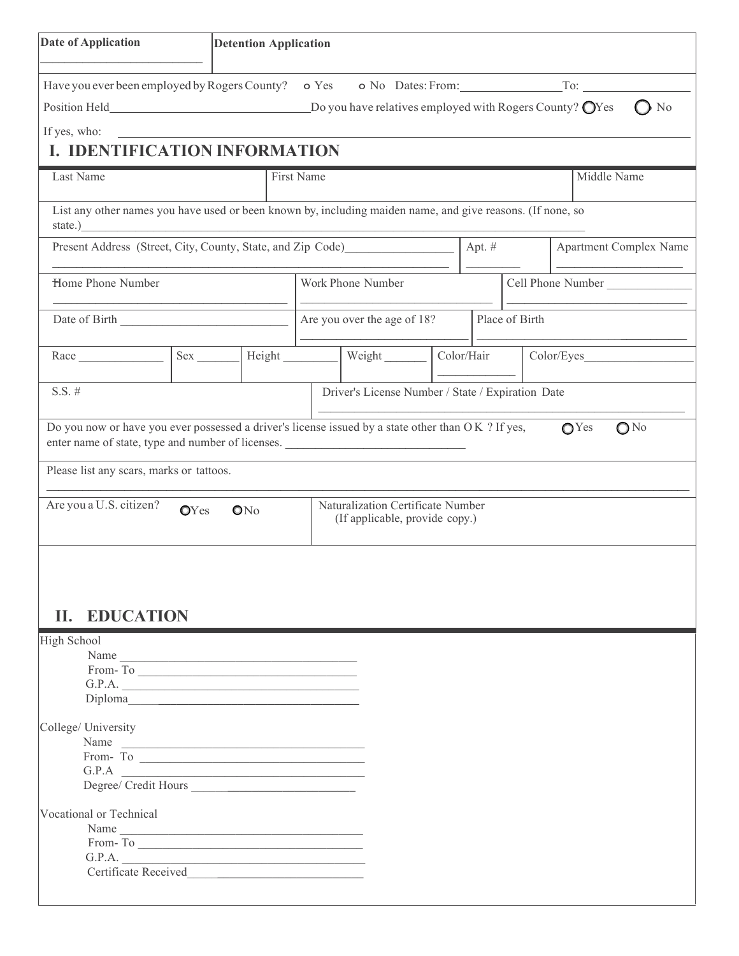| <b>Date of Application</b>                                                                                                                                                              | <b>Detention Application</b> |  |                   |                                                              |  |          |                |                   |                               |  |
|-----------------------------------------------------------------------------------------------------------------------------------------------------------------------------------------|------------------------------|--|-------------------|--------------------------------------------------------------|--|----------|----------------|-------------------|-------------------------------|--|
| Have you ever been employed by Rogers County? • Yes • No Dates: From: To: To:                                                                                                           |                              |  |                   |                                                              |  |          |                |                   | $\bigcirc$ No                 |  |
| I. IDENTIFICATION INFORMATION                                                                                                                                                           |                              |  |                   |                                                              |  |          |                |                   |                               |  |
| Last Name                                                                                                                                                                               |                              |  | First Name        |                                                              |  |          |                |                   | Middle Name                   |  |
| List any other names you have used or been known by, including maiden name, and give reasons. (If none, so<br>state.)                                                                   |                              |  |                   |                                                              |  |          |                |                   |                               |  |
| Present Address (Street, City, County, State, and Zip Code)                                                                                                                             |                              |  |                   |                                                              |  | Apt. $#$ |                |                   | <b>Apartment Complex Name</b> |  |
| Home Phone Number                                                                                                                                                                       |                              |  | Work Phone Number |                                                              |  |          |                | Cell Phone Number |                               |  |
| Date of Birth <b>Exercise 2018</b>                                                                                                                                                      |                              |  |                   | Are you over the age of 18?                                  |  |          | Place of Birth |                   |                               |  |
|                                                                                                                                                                                         |                              |  |                   | Sex ________ Height _________   Weight ________   Color/Hair |  |          |                |                   | Color/Eyes                    |  |
| $S.S. \#$                                                                                                                                                                               |                              |  |                   | Driver's License Number / State / Expiration Date            |  |          |                |                   |                               |  |
| Do you now or have you ever possessed a driver's license issued by a state other than OK ? If yes,<br>enter name of state, type and number of licenses. _______________________________ |                              |  |                   |                                                              |  |          |                | $\mathbf{O}$ Yes  | O <sub>No</sub>               |  |
| Please list any scars, marks or tattoos.                                                                                                                                                |                              |  |                   | Naturalization Certificate Number                            |  |          |                |                   |                               |  |
| Are you a U.S. citizen?<br>OYes                                                                                                                                                         | ON <sub>0</sub>              |  |                   | (If applicable, provide copy.)                               |  |          |                |                   |                               |  |
|                                                                                                                                                                                         |                              |  |                   |                                                              |  |          |                |                   |                               |  |
| <b>II. EDUCATION</b>                                                                                                                                                                    |                              |  |                   |                                                              |  |          |                |                   |                               |  |
| High School                                                                                                                                                                             |                              |  |                   |                                                              |  |          |                |                   |                               |  |
| Name                                                                                                                                                                                    |                              |  |                   |                                                              |  |          |                |                   |                               |  |
| G.P.A.<br>Diploma<br><u> Line and Communications</u>                                                                                                                                    |                              |  |                   |                                                              |  |          |                |                   |                               |  |
| College/ University<br>Name                                                                                                                                                             |                              |  |                   |                                                              |  |          |                |                   |                               |  |
| <u> Alexandria de la contrada de la contrada de la contrada de la contrada de la contrada de la contrada de la c</u><br>From To $\overline{\qquad \qquad }$                             |                              |  |                   |                                                              |  |          |                |                   |                               |  |
| G.P.A<br>Degree/ Credit Hours                                                                                                                                                           |                              |  |                   |                                                              |  |          |                |                   |                               |  |
| Vocational or Technical                                                                                                                                                                 |                              |  |                   |                                                              |  |          |                |                   |                               |  |
| From To $\overline{\phantom{a}}$                                                                                                                                                        |                              |  |                   |                                                              |  |          |                |                   |                               |  |
| G.P.A.                                                                                                                                                                                  |                              |  |                   |                                                              |  |          |                |                   |                               |  |
|                                                                                                                                                                                         |                              |  |                   |                                                              |  |          |                |                   |                               |  |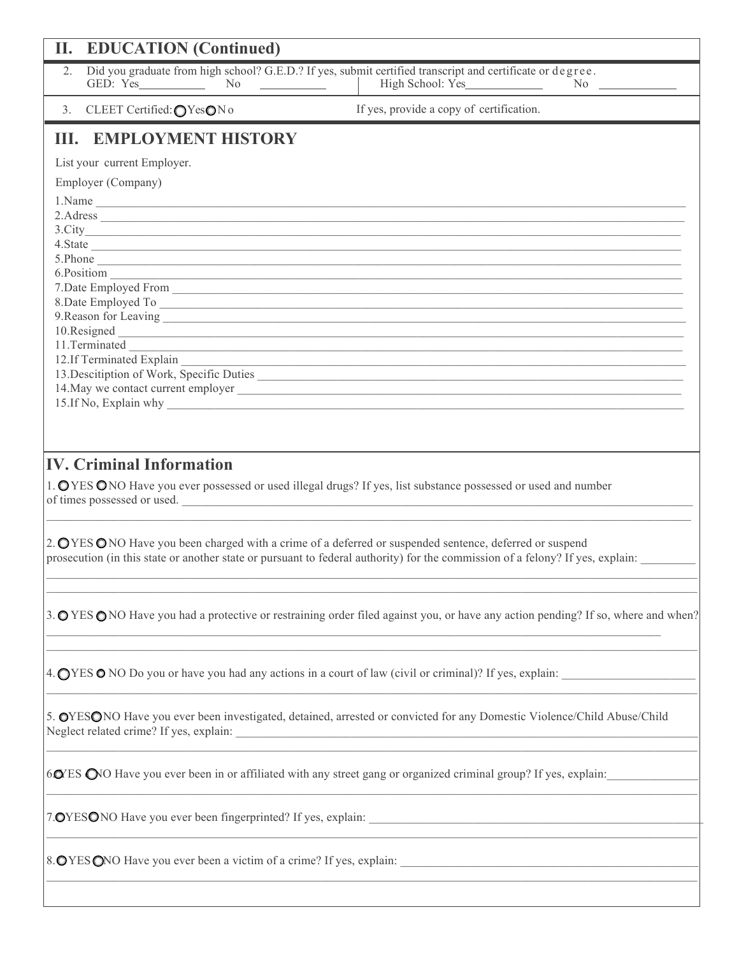| II.    | <b>EDUCATION</b> (Continued)                                 |                                                                                                                                                                                                                                           |
|--------|--------------------------------------------------------------|-------------------------------------------------------------------------------------------------------------------------------------------------------------------------------------------------------------------------------------------|
| 2.     | GED: Yes                                                     | Did you graduate from high school? G.E.D.? If yes, submit certified transcript and certificate or degree.<br>No $\qquad \qquad$<br>No $\qquad \qquad$                                                                                     |
|        | 3. CLEET Certified: OYesON o                                 | If yes, provide a copy of certification.                                                                                                                                                                                                  |
| Ш.     | <b>EMPLOYMENT HISTORY</b>                                    |                                                                                                                                                                                                                                           |
|        | List your current Employer.                                  |                                                                                                                                                                                                                                           |
|        | Employer (Company)                                           |                                                                                                                                                                                                                                           |
|        |                                                              | 1. Name                                                                                                                                                                                                                                   |
|        |                                                              | 2. Adress                                                                                                                                                                                                                                 |
| 3.City |                                                              | <u> 1989 - Andrea Santa Andrea Andrea Andrea Andrea Andrea Andrea Andrea Andrea Andrea Andrea Andrea Andrea Andr</u>                                                                                                                      |
|        |                                                              | 4. State <u>contract the state</u> and the state of the state of the state of the state of the state of the state of the state of the state of the state of the state of the state of the state of the state of the state of the st       |
|        |                                                              | 5.Phone                                                                                                                                                                                                                                   |
|        |                                                              | 6. Position League and Contact the Contact of the Contact of the Contact of the Contact of the Contact of the Contact of the Contact of the Contact of the Contact of the Contact of the Contact of the Contact of the Contact            |
|        |                                                              |                                                                                                                                                                                                                                           |
|        |                                                              |                                                                                                                                                                                                                                           |
|        |                                                              |                                                                                                                                                                                                                                           |
|        |                                                              |                                                                                                                                                                                                                                           |
|        |                                                              |                                                                                                                                                                                                                                           |
|        |                                                              | 13. Descitiption of Work, Specific Duties                                                                                                                                                                                                 |
|        |                                                              |                                                                                                                                                                                                                                           |
|        |                                                              |                                                                                                                                                                                                                                           |
|        | <b>IV. Criminal Information</b>                              | 1. OYES ONO Have you ever possessed or used illegal drugs? If yes, list substance possessed or used and number<br>of times possessed or used.                                                                                             |
|        |                                                              | 2. OYES ONO Have you been charged with a crime of a deferred or suspended sentence, deferred or suspend<br>prosecution (in this state or another state or pursuant to federal authority) for the commission of a felony? If yes, explain: |
|        |                                                              | 3. O YES ONO Have you had a protective or restraining order filed against you, or have any action pending? If so, where and when?                                                                                                         |
|        |                                                              | 4. OYES O NO Do you or have you had any actions in a court of law (civil or criminal)? If yes, explain:                                                                                                                                   |
|        |                                                              | 5. OYESONO Have you ever been investigated, detained, arrested or convicted for any Domestic Violence/Child Abuse/Child                                                                                                                   |
|        |                                                              | 6 OVES ONO Have you ever been in or affiliated with any street gang or organized criminal group? If yes, explain:                                                                                                                         |
|        | 7.OYESONO Have you ever been fingerprinted? If yes, explain: |                                                                                                                                                                                                                                           |

 $\_$  ,  $\_$  ,  $\_$  ,  $\_$  ,  $\_$  ,  $\_$  ,  $\_$  ,  $\_$  ,  $\_$  ,  $\_$  ,  $\_$  ,  $\_$  ,  $\_$  ,  $\_$  ,  $\_$  ,  $\_$  ,  $\_$  ,  $\_$  ,  $\_$  ,  $\_$  ,  $\_$  ,  $\_$  ,  $\_$  ,  $\_$  ,  $\_$  ,  $\_$  ,  $\_$  ,  $\_$  ,  $\_$  ,  $\_$  ,  $\_$  ,  $\_$  ,  $\_$  ,  $\_$  ,  $\_$  ,  $\_$  ,  $\_$  ,

8. o YES o NO Have you ever been a victim of a crime? If yes, explain: \_\_\_\_\_\_\_\_\_\_\_\_\_\_\_\_\_\_\_\_\_\_\_\_\_\_\_\_\_\_\_\_\_\_\_\_\_\_\_\_\_\_\_\_\_\_\_\_\_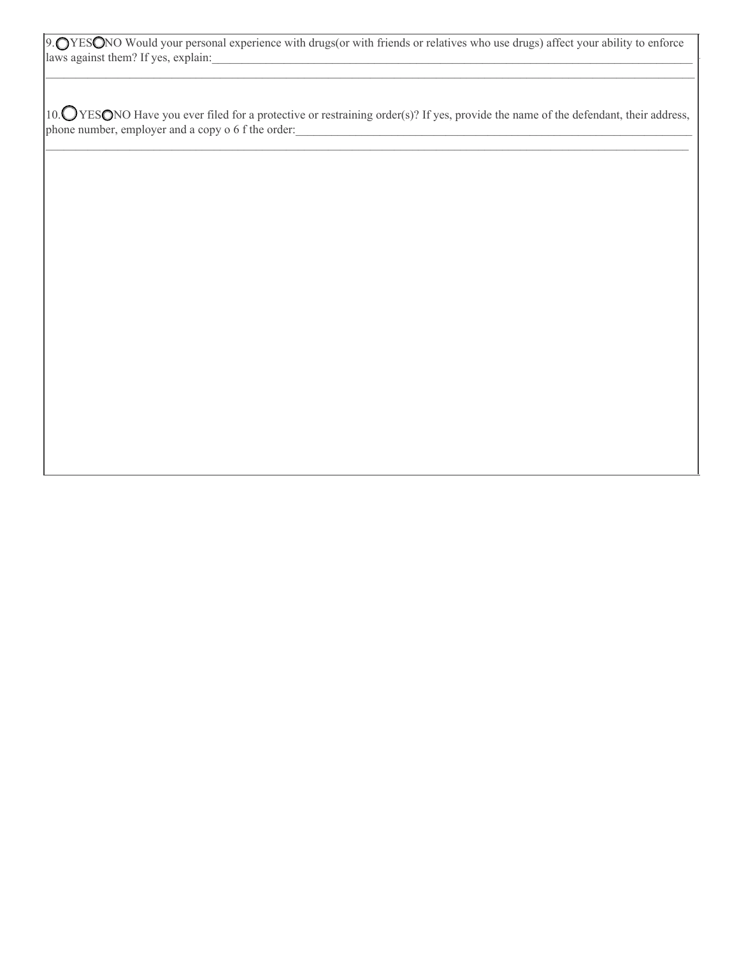9. OYESONO Would your personal experience with drugs(or with friends or relatives who use drugs) affect your ability to enforce laws against them? If yes, explain:

 $\mathcal{L}_\mathcal{L} = \mathcal{L}_\mathcal{L} = \mathcal{L}_\mathcal{L} = \mathcal{L}_\mathcal{L} = \mathcal{L}_\mathcal{L} = \mathcal{L}_\mathcal{L} = \mathcal{L}_\mathcal{L} = \mathcal{L}_\mathcal{L} = \mathcal{L}_\mathcal{L} = \mathcal{L}_\mathcal{L} = \mathcal{L}_\mathcal{L} = \mathcal{L}_\mathcal{L} = \mathcal{L}_\mathcal{L} = \mathcal{L}_\mathcal{L} = \mathcal{L}_\mathcal{L} = \mathcal{L}_\mathcal{L} = \mathcal{L}_\mathcal{L}$ 

 $10.\bigcirc$  YESONO Have you ever filed for a protective or restraining order(s)? If yes, provide the name of the defendant, their address, phone number, employer and a copy o 6 f the order:  $\mathcal{L}_\mathcal{L} = \mathcal{L}_\mathcal{L} = \mathcal{L}_\mathcal{L} = \mathcal{L}_\mathcal{L} = \mathcal{L}_\mathcal{L} = \mathcal{L}_\mathcal{L} = \mathcal{L}_\mathcal{L} = \mathcal{L}_\mathcal{L} = \mathcal{L}_\mathcal{L} = \mathcal{L}_\mathcal{L} = \mathcal{L}_\mathcal{L} = \mathcal{L}_\mathcal{L} = \mathcal{L}_\mathcal{L} = \mathcal{L}_\mathcal{L} = \mathcal{L}_\mathcal{L} = \mathcal{L}_\mathcal{L} = \mathcal{L}_\mathcal{L}$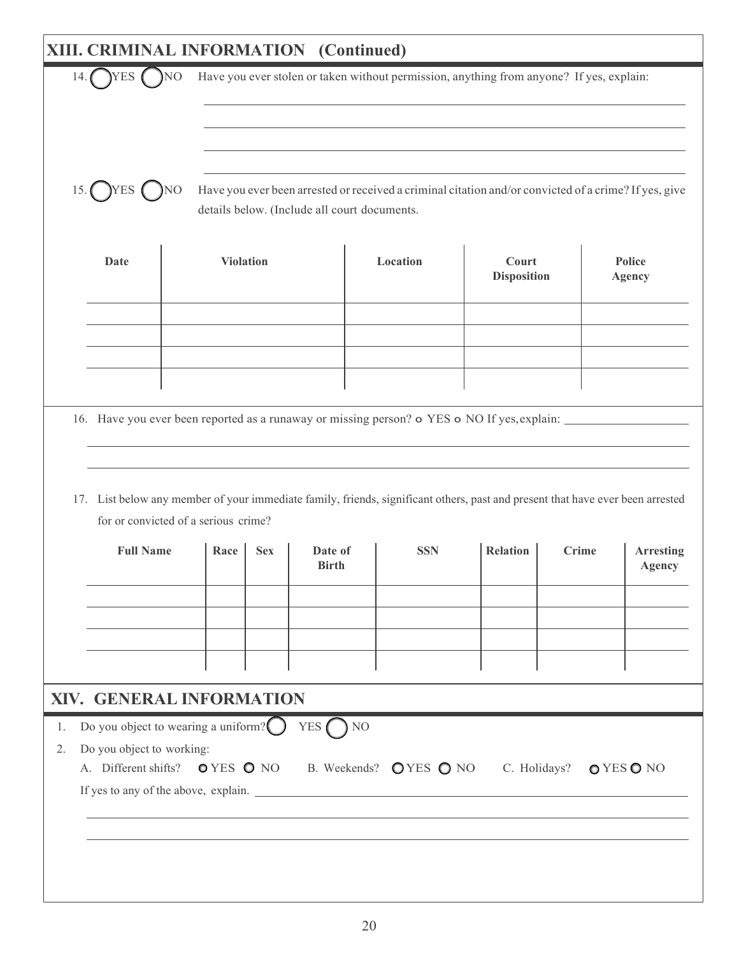|         | $YES$ ( $NO$                                                                                                                                                                                                                                                                              |      |                  |                                              | Have you ever stolen or taken without permission, anything from anyone? If yes, explain:              |                             |              |                                   |
|---------|-------------------------------------------------------------------------------------------------------------------------------------------------------------------------------------------------------------------------------------------------------------------------------------------|------|------------------|----------------------------------------------|-------------------------------------------------------------------------------------------------------|-----------------------------|--------------|-----------------------------------|
| $15.$ ( | <b>YES</b><br>)NO                                                                                                                                                                                                                                                                         |      |                  |                                              | Have you ever been arrested or received a criminal citation and/or convicted of a crime? If yes, give |                             |              |                                   |
|         | <b>Date</b>                                                                                                                                                                                                                                                                               |      | <b>Violation</b> | details below. (Include all court documents. | Location                                                                                              | Court<br><b>Disposition</b> |              | Police<br><b>Agency</b>           |
|         |                                                                                                                                                                                                                                                                                           |      |                  |                                              |                                                                                                       |                             |              |                                   |
|         | 16. Have you ever been reported as a runaway or missing person? o YES o NO If yes, explain:<br>17. List below any member of your immediate family, friends, significant others, past and present that have ever been arrested<br>for or convicted of a serious crime?<br><b>Full Name</b> | Race | <b>Sex</b>       | Date of<br><b>Birth</b>                      | <b>SSN</b>                                                                                            | <b>Relation</b>             | <b>Crime</b> | <b>Arresting</b><br><b>Agency</b> |
|         |                                                                                                                                                                                                                                                                                           |      |                  |                                              |                                                                                                       |                             |              |                                   |
|         |                                                                                                                                                                                                                                                                                           |      |                  |                                              |                                                                                                       |                             |              |                                   |
|         | XIV. GENERAL INFORMATION                                                                                                                                                                                                                                                                  |      |                  |                                              |                                                                                                       |                             |              |                                   |